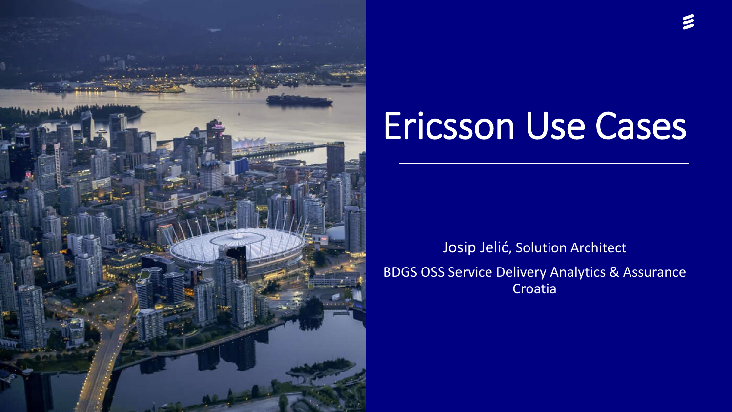

# Ericsson Use Cases

Josip Jelić, Solution Architect BDGS OSS Service Delivery Analytics & Assurance Croatia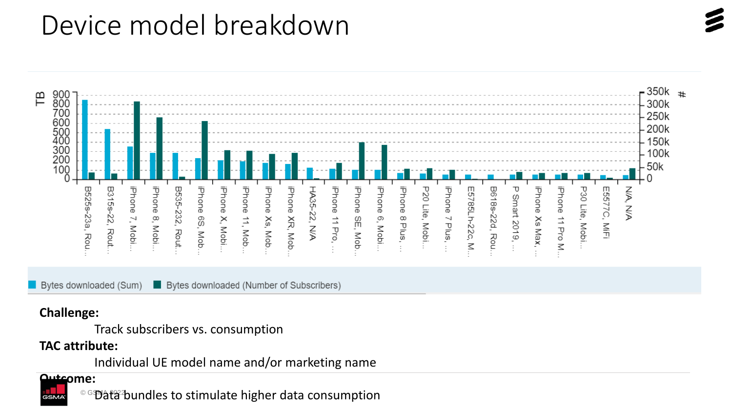### Device model breakdown



Bytes downloaded (Sum) **Bytes downloaded (Number of Subscribers)** 

#### **Challenge:**

Track subscribers vs. consumption

#### **TAC attribute:**

Individual UE model name and/or marketing name

#### **Outcome:**

 $^{\circ}$ ිම්)at $^{\circ}$ හිundles to stimulate higher data consumption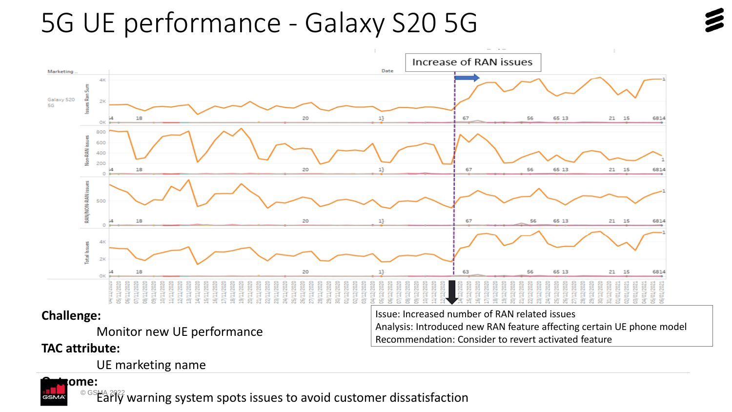### 5G UE performance - Galaxy S20 5G



**TAC attribute:**

**ome:** 

UE marketing name

© GSMA 2022 Early warning system spots issues to avoid customer dissatisfaction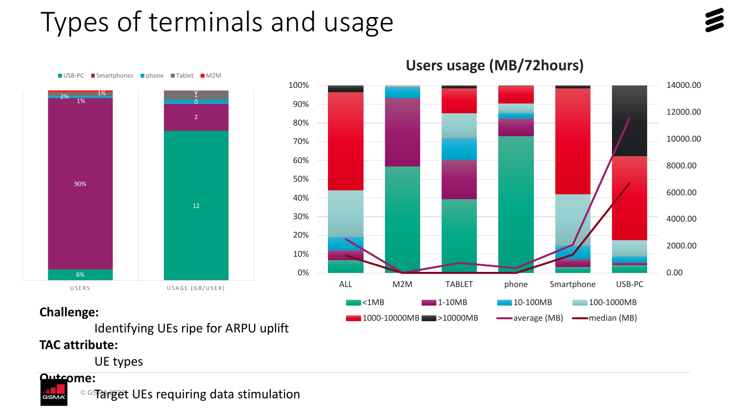### Types of terminals and usage





■ USB-PC ■ Smartphones ■ phone ■ Tablet ■ M2M



### **Challenge:**

Identifying UEs ripe for ARPU uplift

### **TAC attribute:**

UE types

### **Outcome:**

GSM,



**Users usage (MB/72hours)**